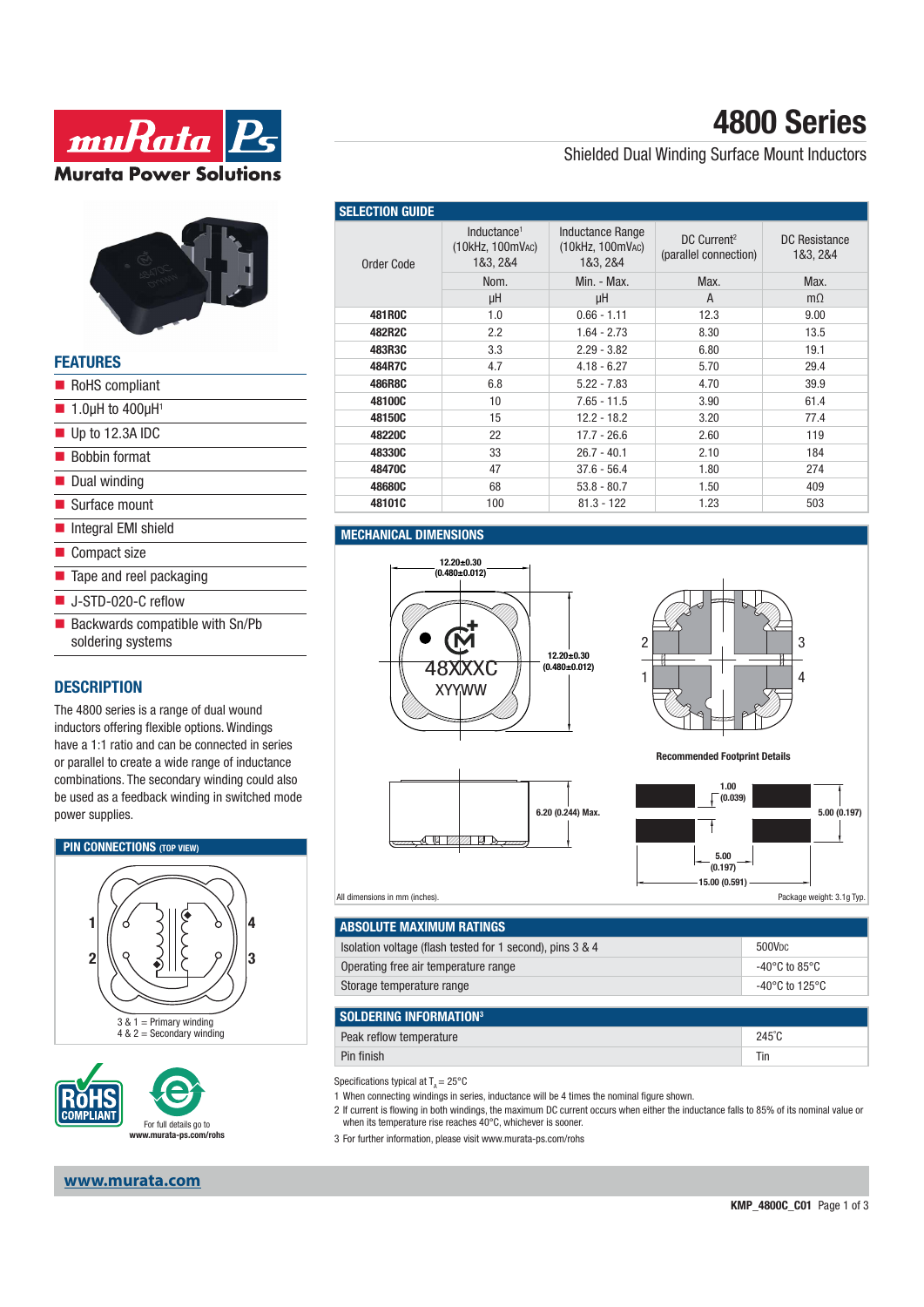



| <b>FEATURES</b>                                      |
|------------------------------------------------------|
| RoHS compliant                                       |
| $\blacksquare$ 1.0µH to 400µH <sup>1</sup>           |
| $\blacksquare$ Up to 12.3A IDC                       |
| ■ Bobbin format                                      |
| Dual winding                                         |
| ■ Surface mount                                      |
| Integral EMI shield                                  |
| ■ Compact size                                       |
| Tape and reel packaging                              |
| $\blacksquare$ J-STD-020-C reflow                    |
| Backwards compatible with Sn/Pb<br>soldering systems |
|                                                      |

## **DESCRIPTION**

The 4800 series is a range of dual wound inductors offering flexible options. Windings have a 1:1 ratio and can be connected in series or parallel to create a wide range of inductance combinations. The secondary winding could also be used as a feedback winding in switched mode power supplies.





## **www.murata.com**

# **4800 Series**

## Shielded Dual Winding Surface Mount Inductors

| <b>SELECTION GUIDE</b> |                                                         |                                                         |                                                  |                           |  |
|------------------------|---------------------------------------------------------|---------------------------------------------------------|--------------------------------------------------|---------------------------|--|
| Order Code             | Inductance <sup>1</sup><br>(10kHz, 100mVAC)<br>1&3, 2&4 | <b>Inductance Range</b><br>(10kHz, 100mVAC)<br>1&3, 2&4 | DC Current <sup>2</sup><br>(parallel connection) | DC Resistance<br>1&3, 2&4 |  |
|                        | Nom.                                                    | Min. - Max.                                             | Max.                                             | Max.                      |  |
|                        | μH                                                      | μH                                                      | A                                                | $m\Omega$                 |  |
| <b>481R0C</b>          | 1.0                                                     | $0.66 - 1.11$                                           | 12.3                                             | 9.00                      |  |
| 482R2C                 | 2.2                                                     | $1.64 - 2.73$                                           | 8.30                                             | 13.5                      |  |
| 483R3C                 | 3.3                                                     | $2.29 - 3.82$                                           | 6.80                                             | 19.1                      |  |
| 484R7C                 | 4.7                                                     | $4.18 - 6.27$                                           | 5.70                                             | 29.4                      |  |
| 486R8C                 | 6.8                                                     | $5.22 - 7.83$                                           | 4.70                                             | 39.9                      |  |
| 48100C                 | 10                                                      | $7.65 - 11.5$                                           | 3.90                                             | 61.4                      |  |
| 48150C                 | 15                                                      | $12.2 - 18.2$                                           | 3.20                                             | 77.4                      |  |
| 48220C                 | 22                                                      | $17.7 - 26.6$                                           | 2.60                                             | 119                       |  |
| 48330C                 | 33                                                      | $26.7 - 40.1$                                           | 2.10                                             | 184                       |  |
| 48470C                 | 47                                                      | $37.6 - 56.4$                                           | 1.80                                             | 274                       |  |
| 48680C                 | 68                                                      | $53.8 - 80.7$                                           | 1.50                                             | 409                       |  |
| 48101C                 | 100                                                     | $81.3 - 122$                                            | 1.23                                             | 503                       |  |

### **MECHANICAL DIMENSIONS**



 $\Box$ 

 $\overline{u}$ 



**Recommended Footprint Details**



#### All dimensions in mm (inches).

| ABSOLUTE MAXIMUM RATINGS                                  |                                     |
|-----------------------------------------------------------|-------------------------------------|
| Isolation voltage (flash tested for 1 second), pins 3 & 4 | 500V <sub>DC</sub>                  |
| Operating free air temperature range                      | -40°C to 85°C                       |
| Storage temperature range                                 | $-40^{\circ}$ C to 125 $^{\circ}$ C |
|                                                           |                                     |
| <b>SOLDERING INFORMATION3</b>                             |                                     |
| Peak reflow temperature                                   | $245^{\circ}$ C                     |

**6.20 (0.244) Max.**

Pin finish Ting and the contract of the contract of the contract of the contract of the contract of the contract of the contract of the contract of the contract of the contract of the contract of the contract of the contra

Specifications typical at  $T_a = 25^{\circ}$ C

1 When connecting windings in series, inductance will be 4 times the nominal figure shown.

- 2 If current is flowing in both windings, the maximum DC current occurs when either the inductance falls to 85% of its nominal value or when its temperature rise reaches 40°C, whichever is sooner.
- 3 For further information, please visit www.murata-ps.com/rohs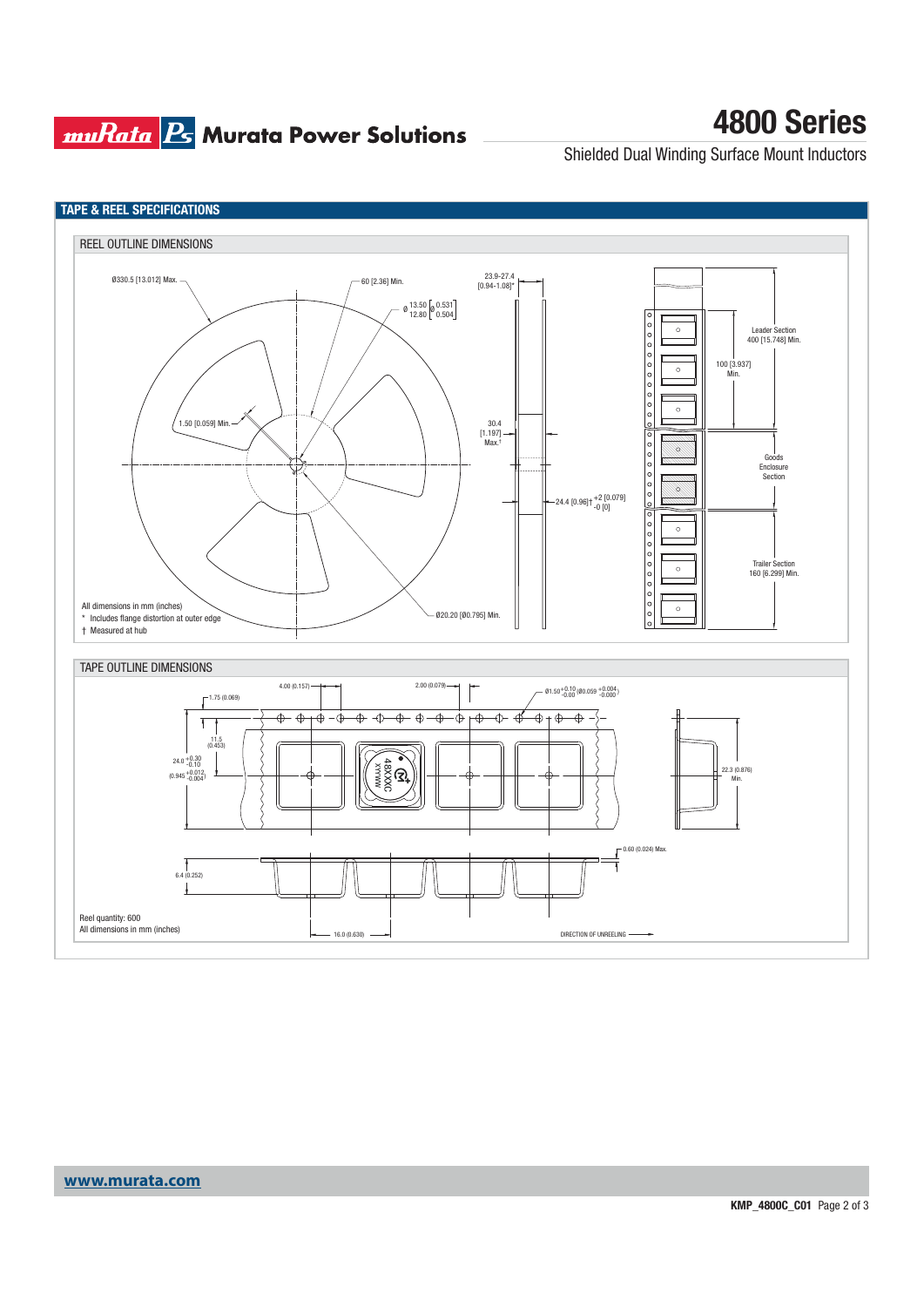## **muRata Ps** Murata Power Solutions

# **4800 Series**

Shielded Dual Winding Surface Mount Inductors